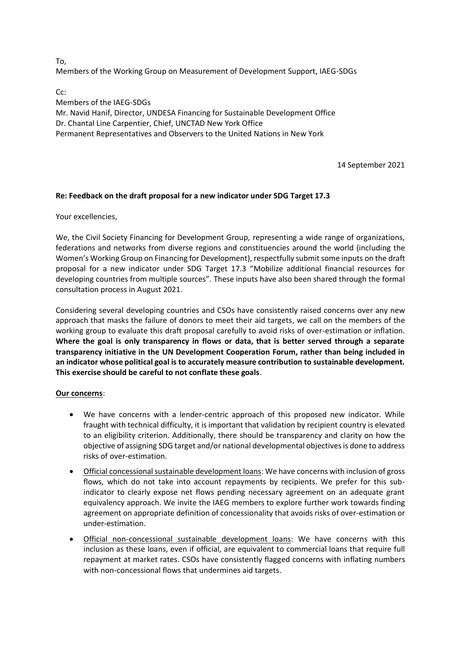To, Members of the Working Group on Measurement of Development Support, IAEG-SDGs

C<sub>c</sub>:

Members of the IAEG-SDGs Mr. Navid Hanif, Director, UNDESA Financing for Sustainable Development Office Dr. Chantal Line Carpentier, Chief, UNCTAD New York Office Permanent Representatives and Observers to the United Nations in New York

14 September 2021

## **Re: Feedback on the draft proposal for a new indicator under SDG Target 17.3**

Your excellencies,

We, the Civil Society Financing for Development Group, representing a wide range of organizations, federations and networks from diverse regions and constituencies around the world (including the Women's Working Group on Financing for Development), respectfully submit some inputs on the draft proposal for a new indicator under SDG Target 17.3 "Mobilize additional financial resources for developing countries from multiple sources". These inputs have also been shared through the formal consultation process in August 2021.

Considering several developing countries and CSOs have consistently raised concerns over any new approach that masks the failure of donors to meet their aid targets, we call on the members of the working group to evaluate this draft proposal carefully to avoid risks of over-estimation or inflation. **Where the goal is only transparency in flows or data, that is better served through a separate transparency initiative in the UN Development Cooperation Forum, rather than being included in an indicator whose political goal is to accurately measure contribution to sustainable development. This exercise should be careful to not conflate these goals**.

## **Our concerns**:

- We have concerns with a lender-centric approach of this proposed new indicator. While fraught with technical difficulty, it is important that validation by recipient country is elevated to an eligibility criterion. Additionally, there should be transparency and clarity on how the objective of assigning SDG target and/or national developmental objectives is done to address risks of over-estimation.
- Official concessional sustainable development loans: We have concerns with inclusion of gross flows, which do not take into account repayments by recipients. We prefer for this subindicator to clearly expose net flows pending necessary agreement on an adequate grant equivalency approach. We invite the IAEG members to explore further work towards finding agreement on appropriate definition of concessionality that avoids risks of over-estimation or under-estimation.
- Official non-concessional sustainable development loans: We have concerns with this inclusion as these loans, even if official, are equivalent to commercial loans that require full repayment at market rates. CSOs have consistently flagged concerns with inflating numbers with non-concessional flows that undermines aid targets.